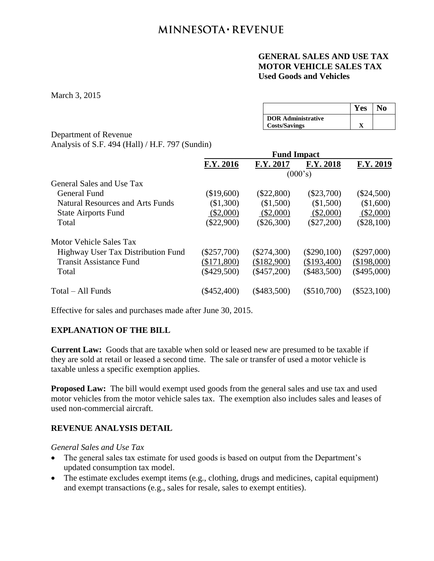# **GENERAL SALES AND USE TAX MOTOR VEHICLE SALES TAX Used Goods and Vehicles**

March 3, 2015

|                           | Yes | N <sub>0</sub> |
|---------------------------|-----|----------------|
| <b>DOR Administrative</b> |     |                |
| <b>Costs/Savings</b>      |     |                |

### Department of Revenue Analysis of S.F. 494 (Hall) / H.F. 797 (Sundin)

|                                         | <b>Fund Impact</b> |               |               |               |  |
|-----------------------------------------|--------------------|---------------|---------------|---------------|--|
|                                         | F.Y. 2016          | F.Y. 2017     | F.Y. 2018     | F.Y. 2019     |  |
|                                         | (000's)            |               |               |               |  |
| General Sales and Use Tax               |                    |               |               |               |  |
| General Fund                            | (\$19,600)         | $(\$22,800)$  | $(\$23,700)$  | $(\$24,500)$  |  |
| <b>Natural Resources and Arts Funds</b> | (\$1,300)          | $(\$1,500)$   | $(\$1,500)$   | (\$1,600)     |  |
| <b>State Airports Fund</b>              | $(\$2,000)$        | (\$2,000)     | (\$2,000)     | (\$2,000)     |  |
| Total                                   | $(\$22,900)$       | $(\$26,300)$  | $(\$27,200)$  | $(\$28,100)$  |  |
| Motor Vehicle Sales Tax                 |                    |               |               |               |  |
| Highway User Tax Distribution Fund      | $(\$257,700)$      | $(\$274,300)$ | $(\$290,100)$ | $(\$297,000)$ |  |
| <b>Transit Assistance Fund</b>          | (\$171,800)        | (\$182,900)   | $(\$193,400)$ | (\$198,000)   |  |
| Total                                   | $(\$429,500)$      | $(\$457,200)$ | $(\$483,500)$ | $(\$495,000)$ |  |
| Total – All Funds                       | $(\$452,400)$      | $(\$483,500)$ | $(\$510,700)$ | $(\$523,100)$ |  |

Effective for sales and purchases made after June 30, 2015.

# **EXPLANATION OF THE BILL**

**Current Law:** Goods that are taxable when sold or leased new are presumed to be taxable if they are sold at retail or leased a second time. The sale or transfer of used a motor vehicle is taxable unless a specific exemption applies.

**Proposed Law:** The bill would exempt used goods from the general sales and use tax and used motor vehicles from the motor vehicle sales tax. The exemption also includes sales and leases of used non-commercial aircraft.

# **REVENUE ANALYSIS DETAIL**

*General Sales and Use Tax*

- The general sales tax estimate for used goods is based on output from the Department's updated consumption tax model.
- The estimate excludes exempt items (e.g., clothing, drugs and medicines, capital equipment) and exempt transactions (e.g., sales for resale, sales to exempt entities).